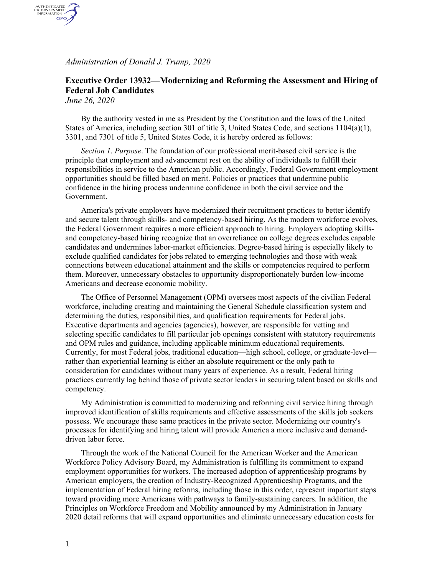*Administration of Donald J. Trump, 2020*

## **Executive Order 13932—Modernizing and Reforming the Assessment and Hiring of Federal Job Candidates**

*June 26, 2020*

AUTHENTICATED<br>U.S. GOVERNMENT<br>INFORMATION GPO

> By the authority vested in me as President by the Constitution and the laws of the United States of America, including section 301 of title 3, United States Code, and sections 1104(a)(1), 3301, and 7301 of title 5, United States Code, it is hereby ordered as follows:

*Section 1*. *Purpose*. The foundation of our professional merit-based civil service is the principle that employment and advancement rest on the ability of individuals to fulfill their responsibilities in service to the American public. Accordingly, Federal Government employment opportunities should be filled based on merit. Policies or practices that undermine public confidence in the hiring process undermine confidence in both the civil service and the Government.

America's private employers have modernized their recruitment practices to better identify and secure talent through skills- and competency-based hiring. As the modern workforce evolves, the Federal Government requires a more efficient approach to hiring. Employers adopting skillsand competency-based hiring recognize that an overreliance on college degrees excludes capable candidates and undermines labor-market efficiencies. Degree-based hiring is especially likely to exclude qualified candidates for jobs related to emerging technologies and those with weak connections between educational attainment and the skills or competencies required to perform them. Moreover, unnecessary obstacles to opportunity disproportionately burden low-income Americans and decrease economic mobility.

The Office of Personnel Management (OPM) oversees most aspects of the civilian Federal workforce, including creating and maintaining the General Schedule classification system and determining the duties, responsibilities, and qualification requirements for Federal jobs. Executive departments and agencies (agencies), however, are responsible for vetting and selecting specific candidates to fill particular job openings consistent with statutory requirements and OPM rules and guidance, including applicable minimum educational requirements. Currently, for most Federal jobs, traditional education—high school, college, or graduate-level rather than experiential learning is either an absolute requirement or the only path to consideration for candidates without many years of experience. As a result, Federal hiring practices currently lag behind those of private sector leaders in securing talent based on skills and competency.

My Administration is committed to modernizing and reforming civil service hiring through improved identification of skills requirements and effective assessments of the skills job seekers possess. We encourage these same practices in the private sector. Modernizing our country's processes for identifying and hiring talent will provide America a more inclusive and demanddriven labor force.

Through the work of the National Council for the American Worker and the American Workforce Policy Advisory Board, my Administration is fulfilling its commitment to expand employment opportunities for workers. The increased adoption of apprenticeship programs by American employers, the creation of Industry-Recognized Apprenticeship Programs, and the implementation of Federal hiring reforms, including those in this order, represent important steps toward providing more Americans with pathways to family-sustaining careers. In addition, the Principles on Workforce Freedom and Mobility announced by my Administration in January 2020 detail reforms that will expand opportunities and eliminate unnecessary education costs for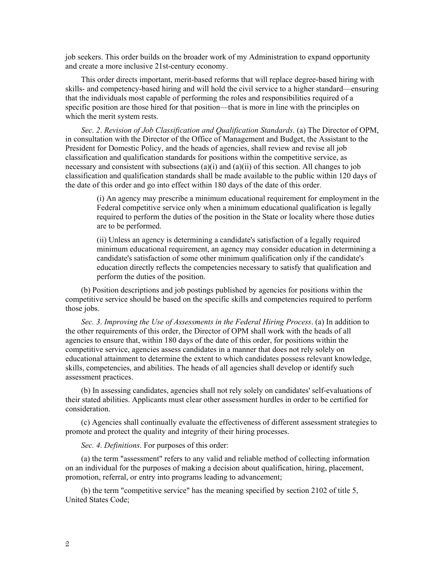job seekers. This order builds on the broader work of my Administration to expand opportunity and create a more inclusive 21st-century economy.

This order directs important, merit-based reforms that will replace degree-based hiring with skills- and competency-based hiring and will hold the civil service to a higher standard—ensuring that the individuals most capable of performing the roles and responsibilities required of a specific position are those hired for that position—that is more in line with the principles on which the merit system rests.

*Sec. 2*. *Revision of Job Classification and Qualification Standards*. (a) The Director of OPM, in consultation with the Director of the Office of Management and Budget, the Assistant to the President for Domestic Policy, and the heads of agencies, shall review and revise all job classification and qualification standards for positions within the competitive service, as necessary and consistent with subsections  $(a)(i)$  and  $(a)(ii)$  of this section. All changes to job classification and qualification standards shall be made available to the public within 120 days of the date of this order and go into effect within 180 days of the date of this order.

(i) An agency may prescribe a minimum educational requirement for employment in the Federal competitive service only when a minimum educational qualification is legally required to perform the duties of the position in the State or locality where those duties are to be performed.

(ii) Unless an agency is determining a candidate's satisfaction of a legally required minimum educational requirement, an agency may consider education in determining a candidate's satisfaction of some other minimum qualification only if the candidate's education directly reflects the competencies necessary to satisfy that qualification and perform the duties of the position.

(b) Position descriptions and job postings published by agencies for positions within the competitive service should be based on the specific skills and competencies required to perform those jobs.

*Sec. 3*. *Improving the Use of Assessments in the Federal Hiring Process*. (a) In addition to the other requirements of this order, the Director of OPM shall work with the heads of all agencies to ensure that, within 180 days of the date of this order, for positions within the competitive service, agencies assess candidates in a manner that does not rely solely on educational attainment to determine the extent to which candidates possess relevant knowledge, skills, competencies, and abilities. The heads of all agencies shall develop or identify such assessment practices.

(b) In assessing candidates, agencies shall not rely solely on candidates' self-evaluations of their stated abilities. Applicants must clear other assessment hurdles in order to be certified for consideration.

(c) Agencies shall continually evaluate the effectiveness of different assessment strategies to promote and protect the quality and integrity of their hiring processes.

*Sec. 4*. *Definitions*. For purposes of this order:

(a) the term "assessment" refers to any valid and reliable method of collecting information on an individual for the purposes of making a decision about qualification, hiring, placement, promotion, referral, or entry into programs leading to advancement;

(b) the term "competitive service" has the meaning specified by section 2102 of title 5, United States Code;